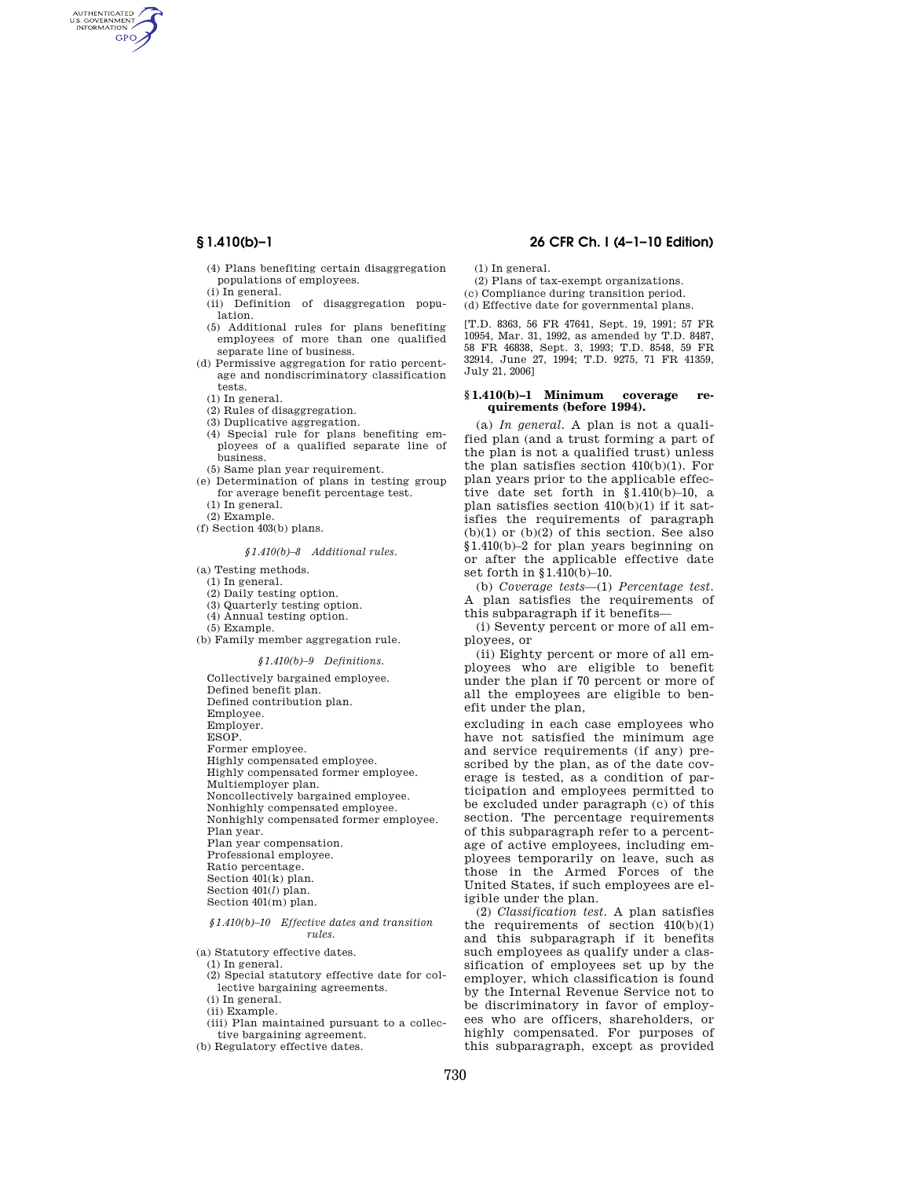AUTHENTICATED<br>U.S. GOVERNMENT<br>INFORMATION **GPO** 

> (4) Plans benefiting certain disaggregation populations of employees.

(i) In general.

- (ii) Definition of disaggregation population.
- (5) Additional rules for plans benefiting employees of more than one qualified separate line of business.
- (d) Permissive aggregation for ratio percentage and nondiscriminatory classification tests.
	- (1) In general.
	- (2) Rules of disaggregation.
	- (3) Duplicative aggregation.
- (4) Special rule for plans benefiting employees of a qualified separate line of business.
- (5) Same plan year requirement.
- (e) Determination of plans in testing group for average benefit percentage test. (1) In general.

(2) Example.

(f) Section 403(b) plans.

## *§1.410(b)–8 Additional rules.*

(a) Testing methods.

- (1) In general.
- (2) Daily testing option.
- (3) Quarterly testing option.
- (4) Annual testing option.
- (5) Example.
- (b) Family member aggregation rule.

*§1.410(b)–9 Definitions.* 

Collectively bargained employee. Defined benefit plan. Defined contribution plan. Employee. Employer. ESOP. Former employee. Highly compensated employee. Highly compensated former employee. Multiemployer plan. Noncollectively bargained employee. Nonhighly compensated employee. Nonhighly compensated former employee. Plan year. Plan year compensation. Professional employee. Ratio percentage. Section 401(k) plan. Section 401(*l*) plan. Section 401(m) plan.

### *§1.410(b)–10 Effective dates and transition rules.*

- (a) Statutory effective dates.
- (1) In general.
- (2) Special statutory effective date for collective bargaining agreements.
- (i) In general.
- (ii) Example.
- (iii) Plan maintained pursuant to a collective bargaining agreement.
- (b) Regulatory effective dates.

# **§ 1.410(b)–1 26 CFR Ch. I (4–1–10 Edition)**

(1) In general.

- (2) Plans of tax-exempt organizations.
- (c) Compliance during transition period. (d) Effective date for governmental plans.
- 

[T.D. 8363, 56 FR 47641, Sept. 19, 1991; 57 FR 10954, Mar. 31, 1992, as amended by T.D. 8487, 58 FR 46838, Sept. 3, 1993; T.D. 8548, 59 FR 32914, June 27, 1994; T.D. 9275, 71 FR 41359, July 21, 2006]

#### **§ 1.410(b)–1 Minimum coverage requirements (before 1994).**

(a) *In general.* A plan is not a qualified plan (and a trust forming a part of the plan is not a qualified trust) unless the plan satisfies section 410(b)(1). For plan years prior to the applicable effective date set forth in §1.410(b)–10, a plan satisfies section 410(b)(1) if it satisfies the requirements of paragraph  $(b)(1)$  or  $(b)(2)$  of this section. See also §1.410(b)–2 for plan years beginning on or after the applicable effective date set forth in §1.410(b)–10.

(b) *Coverage tests*—(1) *Percentage test.*  A plan satisfies the requirements of this subparagraph if it benefits—

(i) Seventy percent or more of all employees, or

(ii) Eighty percent or more of all employees who are eligible to benefit under the plan if 70 percent or more of all the employees are eligible to benefit under the plan,

excluding in each case employees who have not satisfied the minimum age and service requirements (if any) prescribed by the plan, as of the date coverage is tested, as a condition of participation and employees permitted to be excluded under paragraph (c) of this section. The percentage requirements of this subparagraph refer to a percentage of active employees, including employees temporarily on leave, such as those in the Armed Forces of the United States, if such employees are eligible under the plan.

(2) *Classification test.* A plan satisfies the requirements of section 410(b)(1) and this subparagraph if it benefits such employees as qualify under a classification of employees set up by the employer, which classification is found by the Internal Revenue Service not to be discriminatory in favor of employees who are officers, shareholders, or highly compensated. For purposes of this subparagraph, except as provided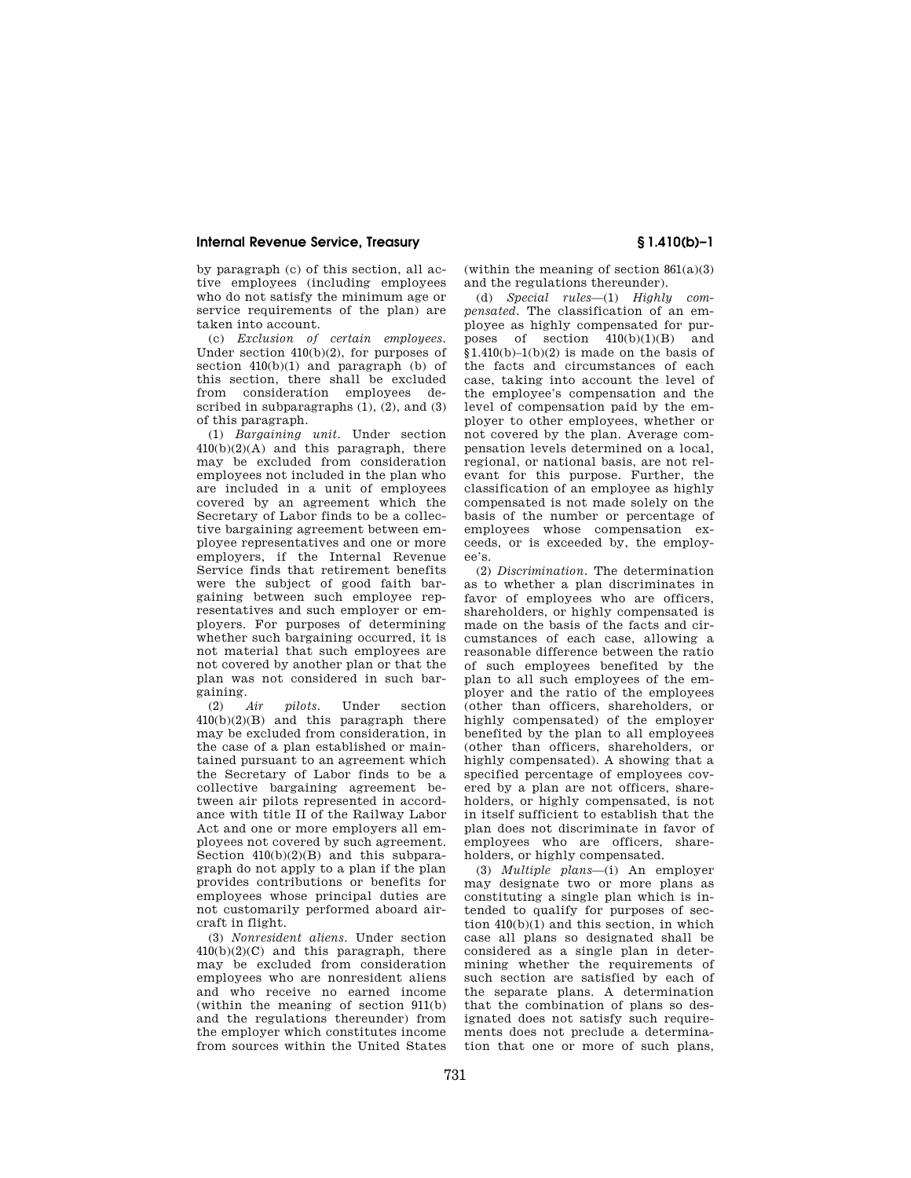## **Internal Revenue Service, Treasury § 1.410(b)–1**

by paragraph (c) of this section, all active employees (including employees who do not satisfy the minimum age or service requirements of the plan) are taken into account.

(c) *Exclusion of certain employees.*  Under section 410(b)(2), for purposes of section 410(b)(1) and paragraph (b) of this section, there shall be excluded from consideration employees described in subparagraphs  $(1)$ ,  $(2)$ , and  $(3)$ of this paragraph.

(1) *Bargaining unit.* Under section  $410(b)(2)(A)$  and this paragraph, there may be excluded from consideration employees not included in the plan who are included in a unit of employees covered by an agreement which the Secretary of Labor finds to be a collective bargaining agreement between employee representatives and one or more employers, if the Internal Revenue Service finds that retirement benefits were the subject of good faith bargaining between such employee representatives and such employer or employers. For purposes of determining whether such bargaining occurred, it is not material that such employees are not covered by another plan or that the plan was not considered in such bargaining.

(2) *Air pilots.* Under section 410(b)(2)(B) and this paragraph there may be excluded from consideration, in the case of a plan established or maintained pursuant to an agreement which the Secretary of Labor finds to be a collective bargaining agreement between air pilots represented in accordance with title II of the Railway Labor Act and one or more employers all employees not covered by such agreement. Section 410(b)(2)(B) and this subparagraph do not apply to a plan if the plan provides contributions or benefits for employees whose principal duties are not customarily performed aboard aircraft in flight.

(3) *Nonresident aliens.* Under section  $410(b)(2)(C)$  and this paragraph, there may be excluded from consideration employees who are nonresident aliens and who receive no earned income (within the meaning of section 911(b) and the regulations thereunder) from the employer which constitutes income from sources within the United States

(within the meaning of section  $861(a)(3)$ ) and the regulations thereunder).

(d) *Special rules*—(1) *Highly compensated.* The classification of an employee as highly compensated for purposes of section  $410(b)(1)(B)$  and  $$1.410(b)-1(b)(2)$  is made on the basis of the facts and circumstances of each case, taking into account the level of the employee's compensation and the level of compensation paid by the employer to other employees, whether or not covered by the plan. Average compensation levels determined on a local, regional, or national basis, are not relevant for this purpose. Further, the classification of an employee as highly compensated is not made solely on the basis of the number or percentage of employees whose compensation exceeds, or is exceeded by, the employee's.

(2) *Discrimination.* The determination as to whether a plan discriminates in favor of employees who are officers, shareholders, or highly compensated is made on the basis of the facts and circumstances of each case, allowing a reasonable difference between the ratio of such employees benefited by the plan to all such employees of the employer and the ratio of the employees (other than officers, shareholders, or highly compensated) of the employer benefited by the plan to all employees (other than officers, shareholders, or highly compensated). A showing that a specified percentage of employees covered by a plan are not officers, shareholders, or highly compensated, is not in itself sufficient to establish that the plan does not discriminate in favor of employees who are officers, shareholders, or highly compensated.

(3) *Multiple plans*—(i) An employer may designate two or more plans as constituting a single plan which is intended to qualify for purposes of section 410(b)(1) and this section, in which case all plans so designated shall be considered as a single plan in determining whether the requirements of such section are satisfied by each of the separate plans. A determination that the combination of plans so designated does not satisfy such requirements does not preclude a determination that one or more of such plans,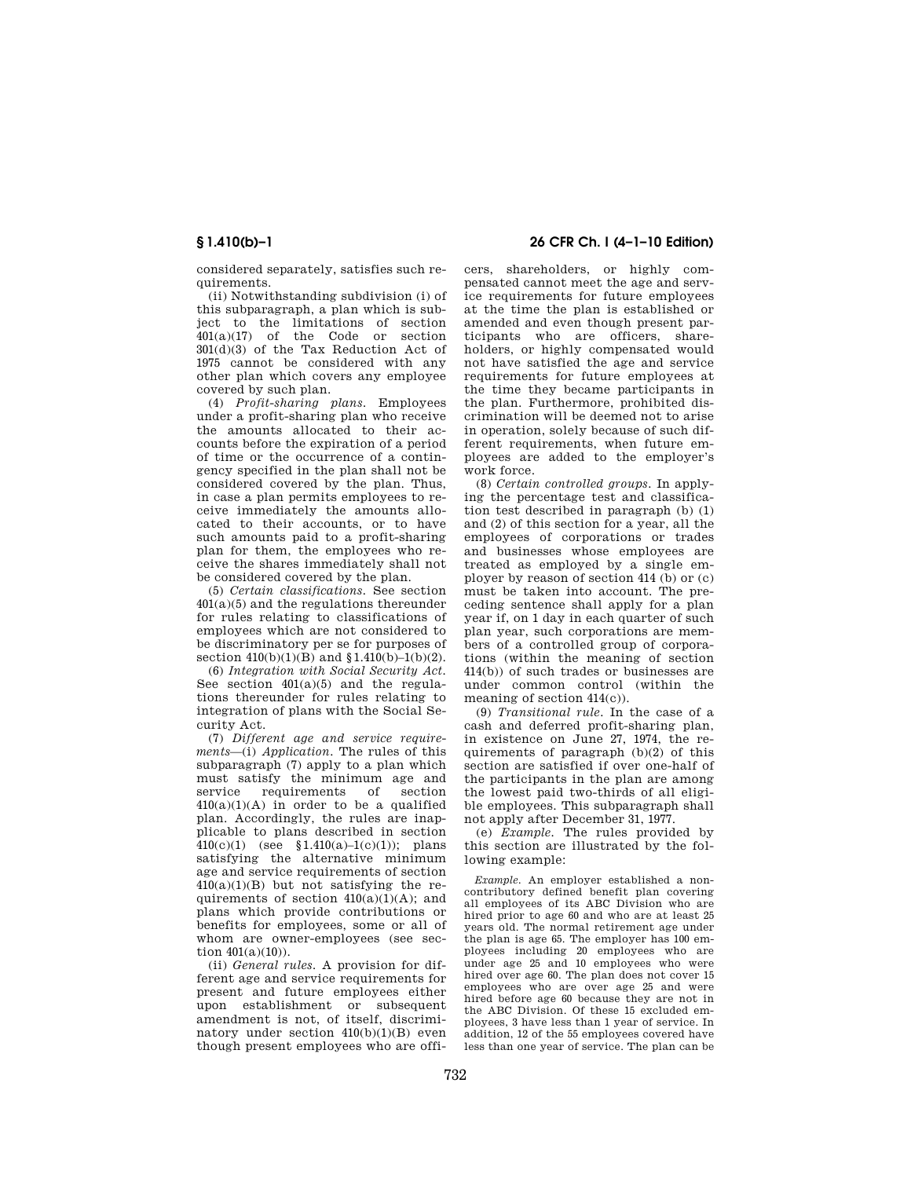considered separately, satisfies such requirements.

(ii) Notwithstanding subdivision (i) of this subparagraph, a plan which is subject to the limitations of section 401(a)(17) of the Code or section 301(d)(3) of the Tax Reduction Act of 1975 cannot be considered with any other plan which covers any employee covered by such plan.

(4) *Profit-sharing plans.* Employees under a profit-sharing plan who receive the amounts allocated to their accounts before the expiration of a period of time or the occurrence of a contingency specified in the plan shall not be considered covered by the plan. Thus, in case a plan permits employees to receive immediately the amounts allocated to their accounts, or to have such amounts paid to a profit-sharing plan for them, the employees who receive the shares immediately shall not be considered covered by the plan.

(5) *Certain classifications.* See section  $401(a)(5)$  and the regulations thereunder for rules relating to classifications of employees which are not considered to be discriminatory per se for purposes of section  $410(b)(1)(B)$  and  $$1.410(b)-1(b)(2)$ .

(6) *Integration with Social Security Act.*  See section 401(a)(5) and the regulations thereunder for rules relating to integration of plans with the Social Security Act.

(7) *Different age and service requirements*—(i) *Application.* The rules of this subparagraph (7) apply to a plan which must satisfy the minimum age and<br>service requirements of section requirements of section  $410(a)(1)(A)$  in order to be a qualified plan. Accordingly, the rules are inapplicable to plans described in section  $410(c)(1)$  (see §1.410(a)–1(c)(1)); plans satisfying the alternative minimum age and service requirements of section  $410(a)(1)(B)$  but not satisfying the requirements of section  $410(a)(1)(A)$ ; and plans which provide contributions or benefits for employees, some or all of whom are owner-employees (see section  $401(a)(10)$ ).

(ii) *General rules.* A provision for different age and service requirements for present and future employees either upon establishment or subsequent amendment is not, of itself, discriminatory under section  $410(b)(1)(B)$  even though present employees who are offi-

**§ 1.410(b)–1 26 CFR Ch. I (4–1–10 Edition)** 

cers, shareholders, or highly compensated cannot meet the age and service requirements for future employees at the time the plan is established or amended and even though present participants who are officers, shareholders, or highly compensated would not have satisfied the age and service requirements for future employees at the time they became participants in the plan. Furthermore, prohibited discrimination will be deemed not to arise in operation, solely because of such different requirements, when future employees are added to the employer's work force.

(8) *Certain controlled groups.* In applying the percentage test and classification test described in paragraph (b) (1) and (2) of this section for a year, all the employees of corporations or trades and businesses whose employees are treated as employed by a single employer by reason of section 414 (b) or (c) must be taken into account. The preceding sentence shall apply for a plan year if, on 1 day in each quarter of such plan year, such corporations are members of a controlled group of corporations (within the meaning of section 414(b)) of such trades or businesses are under common control (within the meaning of section 414(c)).

(9) *Transitional rule.* In the case of a cash and deferred profit-sharing plan, in existence on June 27, 1974, the requirements of paragraph (b)(2) of this section are satisfied if over one-half of the participants in the plan are among the lowest paid two-thirds of all eligible employees. This subparagraph shall not apply after December 31, 1977.

(e) *Example.* The rules provided by this section are illustrated by the following example:

*Example.* An employer established a noncontributory defined benefit plan covering all employees of its ABC Division who are hired prior to age 60 and who are at least 25 years old. The normal retirement age under the plan is age 65. The employer has 100 employees including 20 employees who are under age 25 and 10 employees who were hired over age 60. The plan does not cover 15 employees who are over age 25 and were hired before age 60 because they are not in the ABC Division. Of these 15 excluded employees, 3 have less than 1 year of service. In addition, 12 of the 55 employees covered have less than one year of service. The plan can be